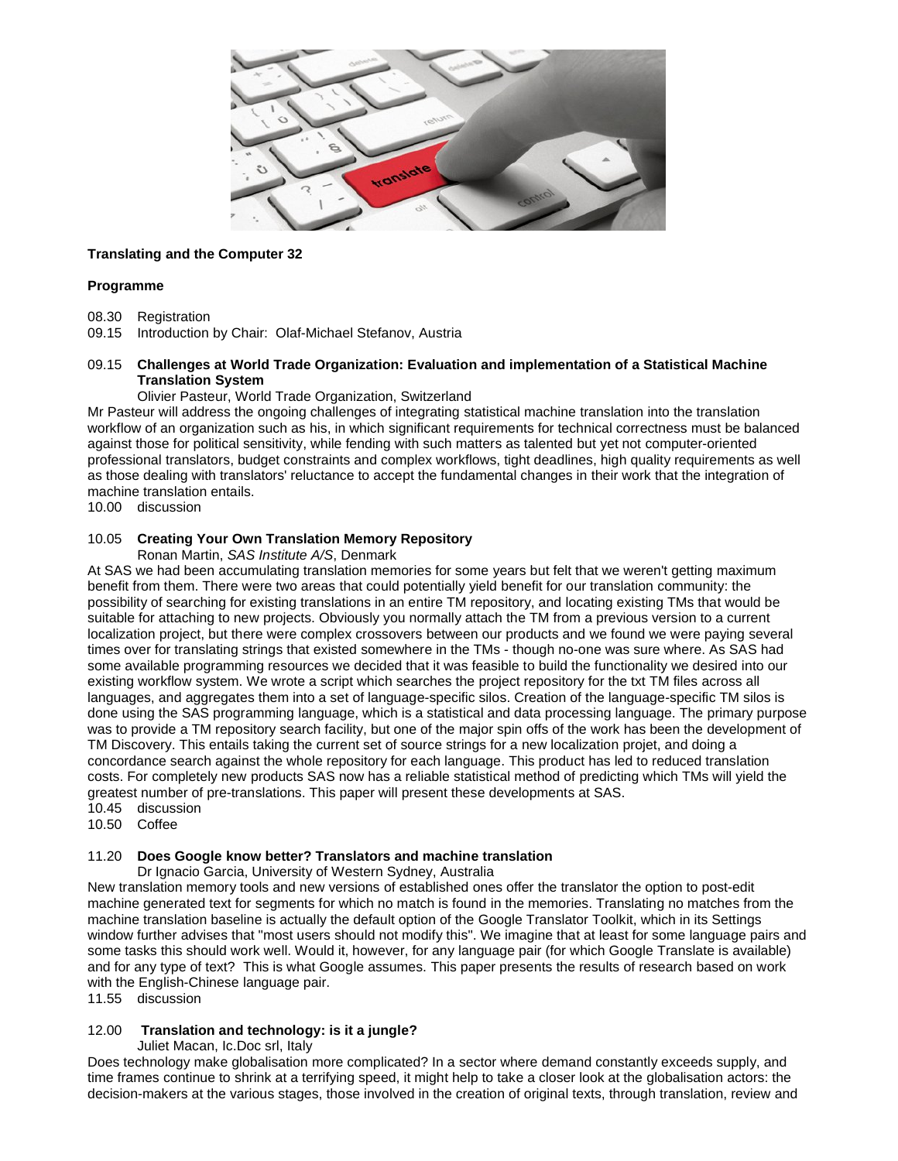

# **Translating and the Computer 32**

### **Programme**

- 08.30 Registration
- 09.15 Introduction by Chair: Olaf-Michael Stefanov, Austria

## 09.15 **Challenges at World Trade Organization: Evaluation and implementation of a Statistical Machine Translation System**

### Olivier Pasteur, World Trade Organization, Switzerland

Mr Pasteur will address the ongoing challenges of integrating statistical machine translation into the translation workflow of an organization such as his, in which significant requirements for technical correctness must be balanced against those for political sensitivity, while fending with such matters as talented but yet not computer-oriented professional translators, budget constraints and complex workflows, tight deadlines, high quality requirements as well as those dealing with translators' reluctance to accept the fundamental changes in their work that the integration of machine translation entails.

10.00 discussion

# 10.05 **Creating Your Own Translation Memory Repository**

Ronan Martin, *SAS Institute A/S*, Denmark

At SAS we had been accumulating translation memories for some years but felt that we weren't getting maximum benefit from them. There were two areas that could potentially yield benefit for our translation community: the possibility of searching for existing translations in an entire TM repository, and locating existing TMs that would be suitable for attaching to new projects. Obviously you normally attach the TM from a previous version to a current localization project, but there were complex crossovers between our products and we found we were paying several times over for translating strings that existed somewhere in the TMs - though no-one was sure where. As SAS had some available programming resources we decided that it was feasible to build the functionality we desired into our existing workflow system. We wrote a script which searches the project repository for the txt TM files across all languages, and aggregates them into a set of language-specific silos. Creation of the language-specific TM silos is done using the SAS programming language, which is a statistical and data processing language. The primary purpose was to provide a TM repository search facility, but one of the major spin offs of the work has been the development of TM Discovery. This entails taking the current set of source strings for a new localization projet, and doing a concordance search against the whole repository for each language. This product has led to reduced translation costs. For completely new products SAS now has a reliable statistical method of predicting which TMs will yield the greatest number of pre-translations. This paper will present these developments at SAS.

10.45 discussion

10.50 Coffee

# 11.20 **Does Google know better? Translators and machine translation**

Dr Ignacio Garcia, University of Western Sydney, Australia

New translation memory tools and new versions of established ones offer the translator the option to post-edit machine generated text for segments for which no match is found in the memories. Translating no matches from the machine translation baseline is actually the default option of the Google Translator Toolkit, which in its Settings window further advises that "most users should not modify this". We imagine that at least for some language pairs and some tasks this should work well. Would it, however, for any language pair (for which Google Translate is available) and for any type of text? This is what Google assumes. This paper presents the results of research based on work with the English-Chinese language pair.

11.55 discussion

### 12.00 **Translation and technology: is it a jungle?**

Juliet Macan, Ic.Doc srl, Italy

Does technology make globalisation more complicated? In a sector where demand constantly exceeds supply, and time frames continue to shrink at a terrifying speed, it might help to take a closer look at the globalisation actors: the decision-makers at the various stages, those involved in the creation of original texts, through translation, review and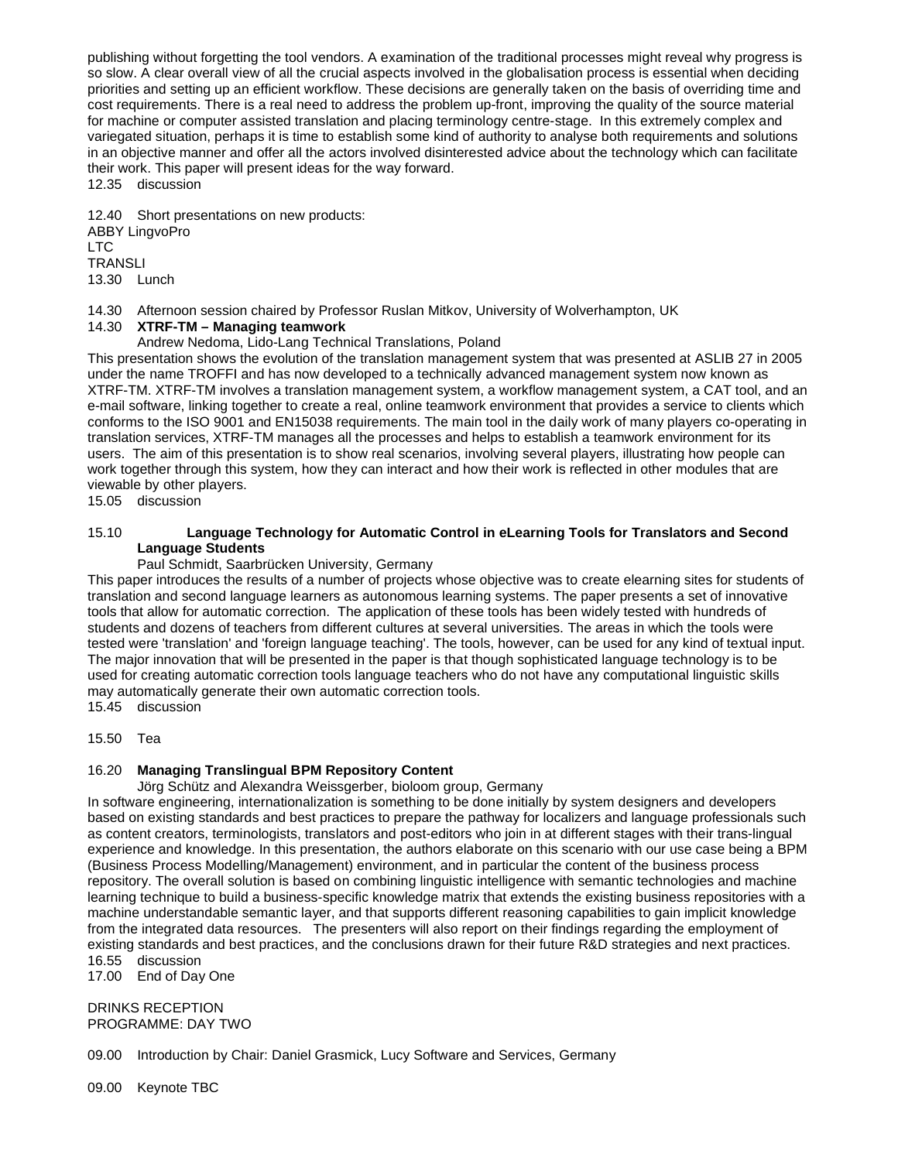publishing without forgetting the tool vendors. A examination of the traditional processes might reveal why progress is so slow. A clear overall view of all the crucial aspects involved in the globalisation process is essential when deciding priorities and setting up an efficient workflow. These decisions are generally taken on the basis of overriding time and cost requirements. There is a real need to address the problem up-front, improving the quality of the source material for machine or computer assisted translation and placing terminology centre-stage. In this extremely complex and variegated situation, perhaps it is time to establish some kind of authority to analyse both requirements and solutions in an objective manner and offer all the actors involved disinterested advice about the technology which can facilitate their work. This paper will present ideas for the way forward. 12.35 discussion

12.40 Short presentations on new products: ABBY LingvoPro LTC **TRANSLI** 13.30 Lunch

14.30 Afternoon session chaired by Professor Ruslan Mitkov, University of Wolverhampton, UK

# 14.30 **XTRF-TM – Managing teamwork**

Andrew Nedoma, Lido-Lang Technical Translations, Poland

This presentation shows the evolution of the translation management system that was presented at ASLIB 27 in 2005 under the name TROFFI and has now developed to a technically advanced management system now known as XTRF-TM. XTRF-TM involves a translation management system, a workflow management system, a CAT tool, and an e-mail software, linking together to create a real, online teamwork environment that provides a service to clients which conforms to the ISO 9001 and EN15038 requirements. The main tool in the daily work of many players co-operating in translation services, XTRF-TM manages all the processes and helps to establish a teamwork environment for its users. The aim of this presentation is to show real scenarios, involving several players, illustrating how people can work together through this system, how they can interact and how their work is reflected in other modules that are viewable by other players.

15.05 discussion

# 15.10 **Language Technology for Automatic Control in eLearning Tools for Translators and Second Language Students**

### Paul Schmidt, Saarbrücken University, Germany

This paper introduces the results of a number of projects whose objective was to create elearning sites for students of translation and second language learners as autonomous learning systems. The paper presents a set of innovative tools that allow for automatic correction. The application of these tools has been widely tested with hundreds of students and dozens of teachers from different cultures at several universities. The areas in which the tools were tested were 'translation' and 'foreign language teaching'. The tools, however, can be used for any kind of textual input. The major innovation that will be presented in the paper is that though sophisticated language technology is to be used for creating automatic correction tools language teachers who do not have any computational linguistic skills may automatically generate their own automatic correction tools.

15.45 discussion

15.50 Tea

### 16.20 **Managing Translingual BPM Repository Content**

Jörg Schütz and Alexandra Weissgerber, bioloom group, Germany

In software engineering, internationalization is something to be done initially by system designers and developers based on existing standards and best practices to prepare the pathway for localizers and language professionals such as content creators, terminologists, translators and post-editors who join in at different stages with their trans-lingual experience and knowledge. In this presentation, the authors elaborate on this scenario with our use case being a BPM (Business Process Modelling/Management) environment, and in particular the content of the business process repository. The overall solution is based on combining linguistic intelligence with semantic technologies and machine learning technique to build a business-specific knowledge matrix that extends the existing business repositories with a machine understandable semantic layer, and that supports different reasoning capabilities to gain implicit knowledge from the integrated data resources. The presenters will also report on their findings regarding the employment of existing standards and best practices, and the conclusions drawn for their future R&D strategies and next practices. 16.55 discussion

17.00 End of Day One

DRINKS RECEPTION PROGRAMME: DAY TWO

09.00 Introduction by Chair: Daniel Grasmick, Lucy Software and Services, Germany

09.00 Keynote TBC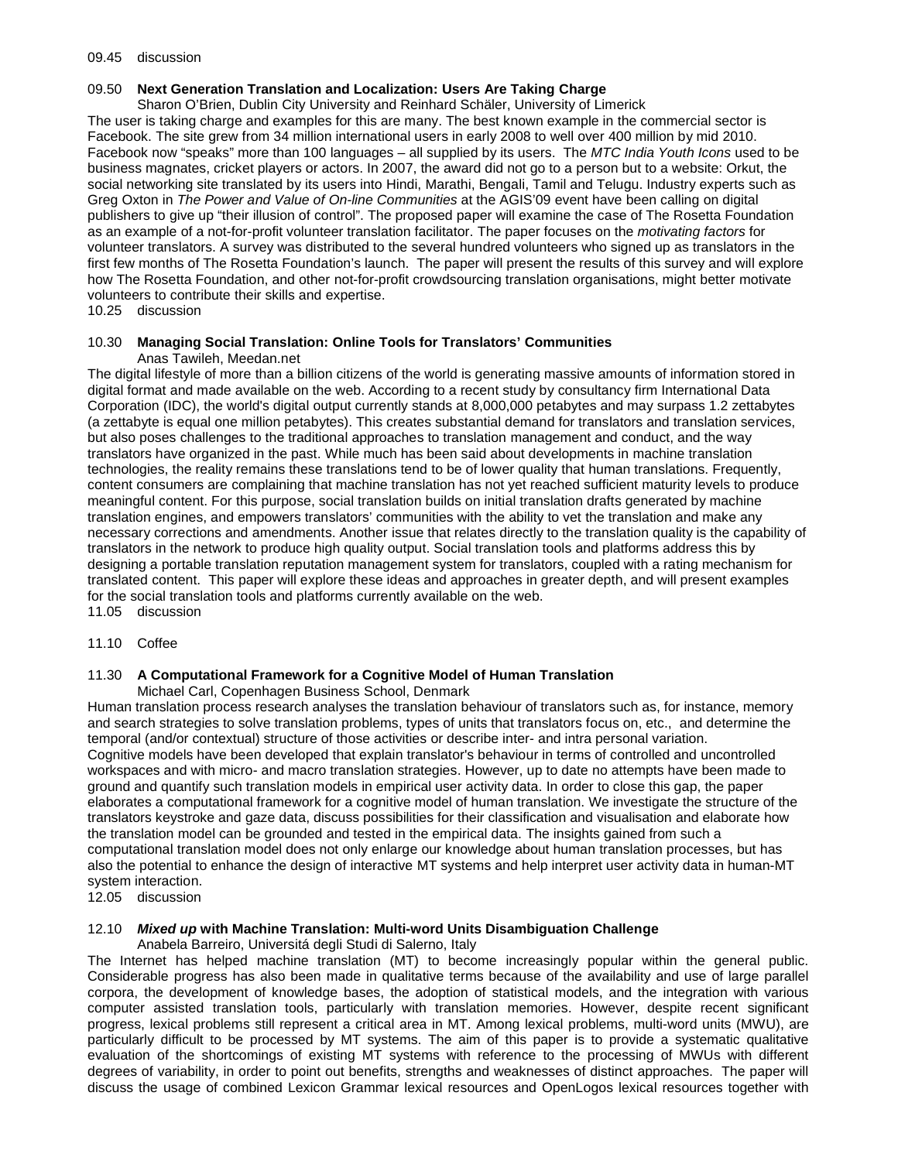#### 09.45 discussion

# 09.50 **Next Generation Translation and Localization: Users Are Taking Charge**

Sharon O'Brien, Dublin City University and Reinhard Schäler, University of Limerick

The user is taking charge and examples for this are many. The best known example in the commercial sector is Facebook. The site grew from 34 million international users in early 2008 to well over 400 million by mid 2010. Facebook now "speaks" more than 100 languages – all supplied by its users. The *MTC India Youth Icons* used to be business magnates, cricket players or actors. In 2007, the award did not go to a person but to a website: Orkut, the social networking site translated by its users into Hindi, Marathi, Bengali, Tamil and Telugu. Industry experts such as Greg Oxton in *The Power and Value of On-line Communities* at the AGIS'09 event have been calling on digital publishers to give up "their illusion of control". The proposed paper will examine the case of The Rosetta Foundation as an example of a not-for-profit volunteer translation facilitator. The paper focuses on the *motivating factors* for volunteer translators. A survey was distributed to the several hundred volunteers who signed up as translators in the first few months of The Rosetta Foundation's launch. The paper will present the results of this survey and will explore how The Rosetta Foundation, and other not-for-profit crowdsourcing translation organisations, might better motivate volunteers to contribute their skills and expertise.

# 10.25 discussion

#### 10.30 **Managing Social Translation: Online Tools for Translators' Communities** Anas Tawileh, Meedan.net

The digital lifestyle of more than a billion citizens of the world is generating massive amounts of information stored in digital format and made available on the web. According to a recent study by consultancy firm International Data Corporation (IDC), the world's digital output currently stands at 8,000,000 petabytes and may surpass 1.2 zettabytes (a zettabyte is equal one million petabytes). This creates substantial demand for translators and translation services, but also poses challenges to the traditional approaches to translation management and conduct, and the way translators have organized in the past. While much has been said about developments in machine translation technologies, the reality remains these translations tend to be of lower quality that human translations. Frequently, content consumers are complaining that machine translation has not yet reached sufficient maturity levels to produce meaningful content. For this purpose, social translation builds on initial translation drafts generated by machine translation engines, and empowers translators' communities with the ability to vet the translation and make any necessary corrections and amendments. Another issue that relates directly to the translation quality is the capability of translators in the network to produce high quality output. Social translation tools and platforms address this by designing a portable translation reputation management system for translators, coupled with a rating mechanism for translated content. This paper will explore these ideas and approaches in greater depth, and will present examples for the social translation tools and platforms currently available on the web. 11.05 discussion

# 11.10 Coffee

# 11.30 **A Computational Framework for a Cognitive Model of Human Translation**

Michael Carl, Copenhagen Business School, Denmark

Human translation process research analyses the translation behaviour of translators such as, for instance, memory and search strategies to solve translation problems, types of units that translators focus on, etc., and determine the temporal (and/or contextual) structure of those activities or describe inter- and intra personal variation. Cognitive models have been developed that explain translator's behaviour in terms of controlled and uncontrolled workspaces and with micro- and macro translation strategies. However, up to date no attempts have been made to ground and quantify such translation models in empirical user activity data. In order to close this gap, the paper elaborates a computational framework for a cognitive model of human translation. We investigate the structure of the translators keystroke and gaze data, discuss possibilities for their classification and visualisation and elaborate how the translation model can be grounded and tested in the empirical data. The insights gained from such a computational translation model does not only enlarge our knowledge about human translation processes, but has also the potential to enhance the design of interactive MT systems and help interpret user activity data in human-MT system interaction.

12.05 discussion

# 12.10 *Mixed up* **with Machine Translation: Multi-word Units Disambiguation Challenge**

Anabela Barreiro, Universitá degli Studi di Salerno, Italy The Internet has helped machine translation (MT) to become increasingly popular within the general public. Considerable progress has also been made in qualitative terms because of the availability and use of large parallel corpora, the development of knowledge bases, the adoption of statistical models, and the integration with various computer assisted translation tools, particularly with translation memories. However, despite recent significant progress, lexical problems still represent a critical area in MT. Among lexical problems, multi-word units (MWU), are particularly difficult to be processed by MT systems. The aim of this paper is to provide a systematic qualitative evaluation of the shortcomings of existing MT systems with reference to the processing of MWUs with different degrees of variability, in order to point out benefits, strengths and weaknesses of distinct approaches. The paper will discuss the usage of combined Lexicon Grammar lexical resources and OpenLogos lexical resources together with